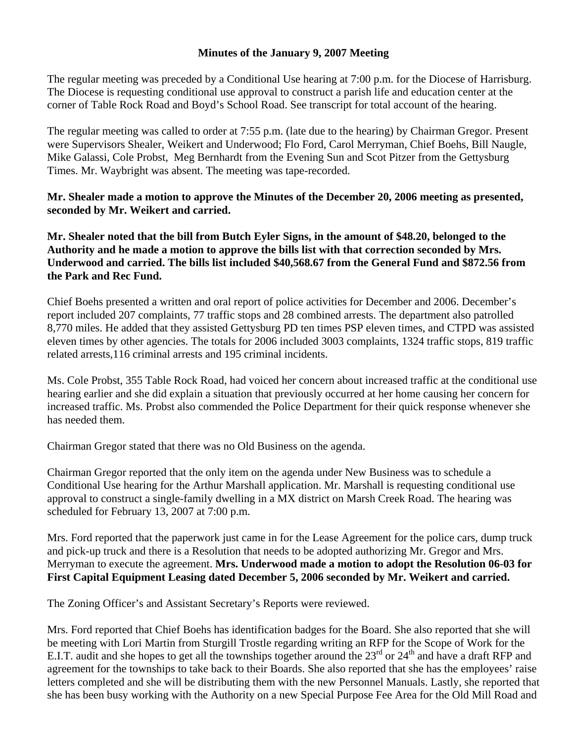## **Minutes of the January 9, 2007 Meeting**

The regular meeting was preceded by a Conditional Use hearing at 7:00 p.m. for the Diocese of Harrisburg. The Diocese is requesting conditional use approval to construct a parish life and education center at the corner of Table Rock Road and Boyd's School Road. See transcript for total account of the hearing.

The regular meeting was called to order at 7:55 p.m. (late due to the hearing) by Chairman Gregor. Present were Supervisors Shealer, Weikert and Underwood; Flo Ford, Carol Merryman, Chief Boehs, Bill Naugle, Mike Galassi, Cole Probst, Meg Bernhardt from the Evening Sun and Scot Pitzer from the Gettysburg Times. Mr. Waybright was absent. The meeting was tape-recorded.

**Mr. Shealer made a motion to approve the Minutes of the December 20, 2006 meeting as presented, seconded by Mr. Weikert and carried.** 

**Mr. Shealer noted that the bill from Butch Eyler Signs, in the amount of \$48.20, belonged to the Authority and he made a motion to approve the bills list with that correction seconded by Mrs. Underwood and carried. The bills list included \$40,568.67 from the General Fund and \$872.56 from the Park and Rec Fund.** 

Chief Boehs presented a written and oral report of police activities for December and 2006. December's report included 207 complaints, 77 traffic stops and 28 combined arrests. The department also patrolled 8,770 miles. He added that they assisted Gettysburg PD ten times PSP eleven times, and CTPD was assisted eleven times by other agencies. The totals for 2006 included 3003 complaints, 1324 traffic stops, 819 traffic related arrests,116 criminal arrests and 195 criminal incidents.

Ms. Cole Probst, 355 Table Rock Road, had voiced her concern about increased traffic at the conditional use hearing earlier and she did explain a situation that previously occurred at her home causing her concern for increased traffic. Ms. Probst also commended the Police Department for their quick response whenever she has needed them.

Chairman Gregor stated that there was no Old Business on the agenda.

Chairman Gregor reported that the only item on the agenda under New Business was to schedule a Conditional Use hearing for the Arthur Marshall application. Mr. Marshall is requesting conditional use approval to construct a single-family dwelling in a MX district on Marsh Creek Road. The hearing was scheduled for February 13, 2007 at 7:00 p.m.

Mrs. Ford reported that the paperwork just came in for the Lease Agreement for the police cars, dump truck and pick-up truck and there is a Resolution that needs to be adopted authorizing Mr. Gregor and Mrs. Merryman to execute the agreement. **Mrs. Underwood made a motion to adopt the Resolution 06-03 for First Capital Equipment Leasing dated December 5, 2006 seconded by Mr. Weikert and carried.** 

The Zoning Officer's and Assistant Secretary's Reports were reviewed.

Mrs. Ford reported that Chief Boehs has identification badges for the Board. She also reported that she will be meeting with Lori Martin from Sturgill Trostle regarding writing an RFP for the Scope of Work for the E.I.T. audit and she hopes to get all the townships together around the  $23<sup>rd</sup>$  or  $24<sup>th</sup>$  and have a draft RFP and agreement for the townships to take back to their Boards. She also reported that she has the employees' raise letters completed and she will be distributing them with the new Personnel Manuals. Lastly, she reported that she has been busy working with the Authority on a new Special Purpose Fee Area for the Old Mill Road and